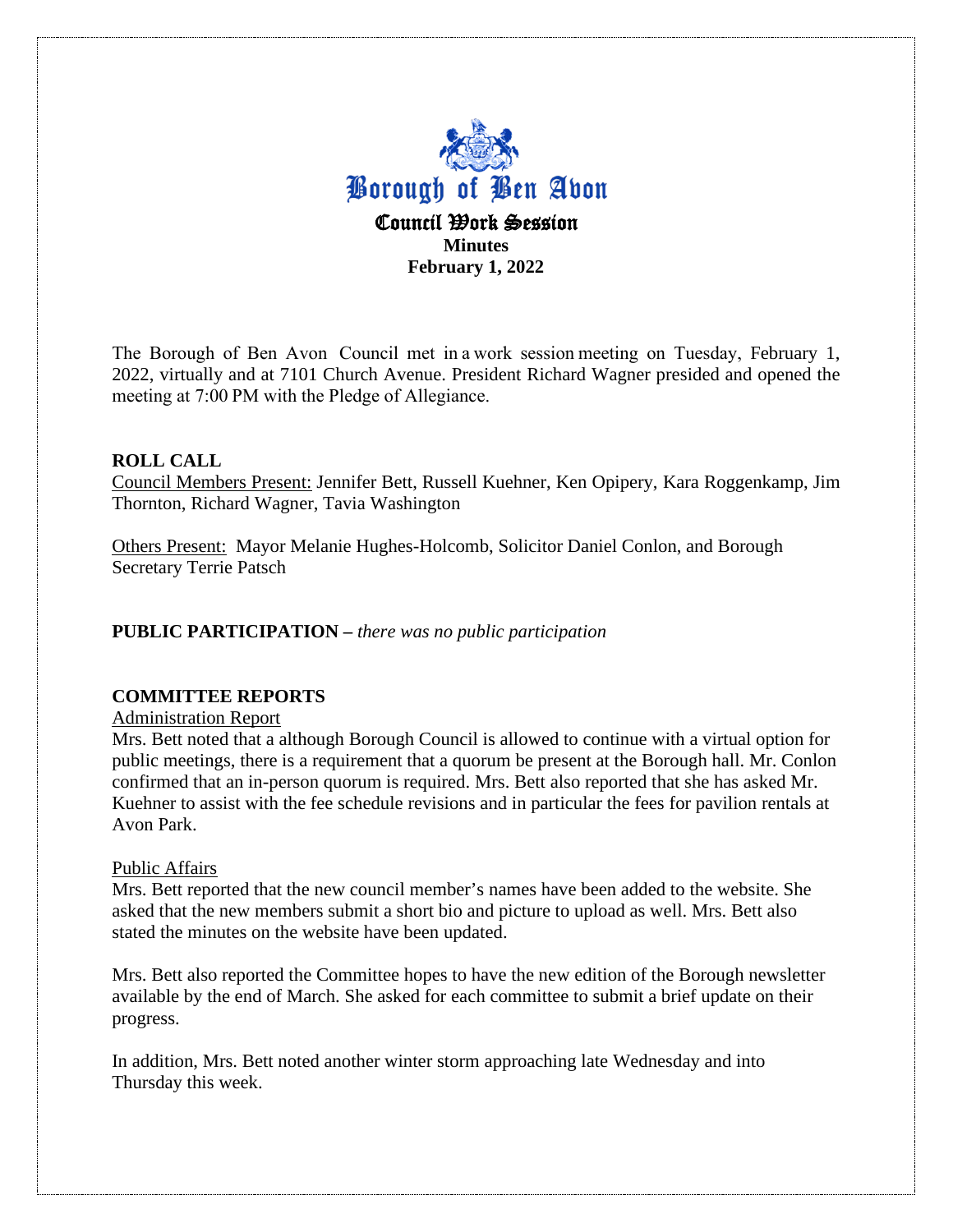

The Borough of Ben Avon  Council met in a work session meeting on Tuesday, February 1, 2022, virtually and at 7101 Church Avenue. President Richard Wagner presided and opened the meeting at 7:00 PM with the Pledge of Allegiance. 

# **ROLL CALL**

Council Members Present: Jennifer Bett, Russell Kuehner, Ken Opipery, Kara Roggenkamp, Jim Thornton, Richard Wagner, Tavia Washington

Others Present: Mayor Melanie Hughes-Holcomb, Solicitor Daniel Conlon, and Borough Secretary Terrie Patsch

# **PUBLIC PARTICIPATION –** *there was no public participation*

# **COMMITTEE REPORTS**

Administration Report

Mrs. Bett noted that a although Borough Council is allowed to continue with a virtual option for public meetings, there is a requirement that a quorum be present at the Borough hall. Mr. Conlon confirmed that an in-person quorum is required. Mrs. Bett also reported that she has asked Mr. Kuehner to assist with the fee schedule revisions and in particular the fees for pavilion rentals at Avon Park.

### Public Affairs

Mrs. Bett reported that the new council member's names have been added to the website. She asked that the new members submit a short bio and picture to upload as well. Mrs. Bett also stated the minutes on the website have been updated.

Mrs. Bett also reported the Committee hopes to have the new edition of the Borough newsletter available by the end of March. She asked for each committee to submit a brief update on their progress.

In addition, Mrs. Bett noted another winter storm approaching late Wednesday and into Thursday this week.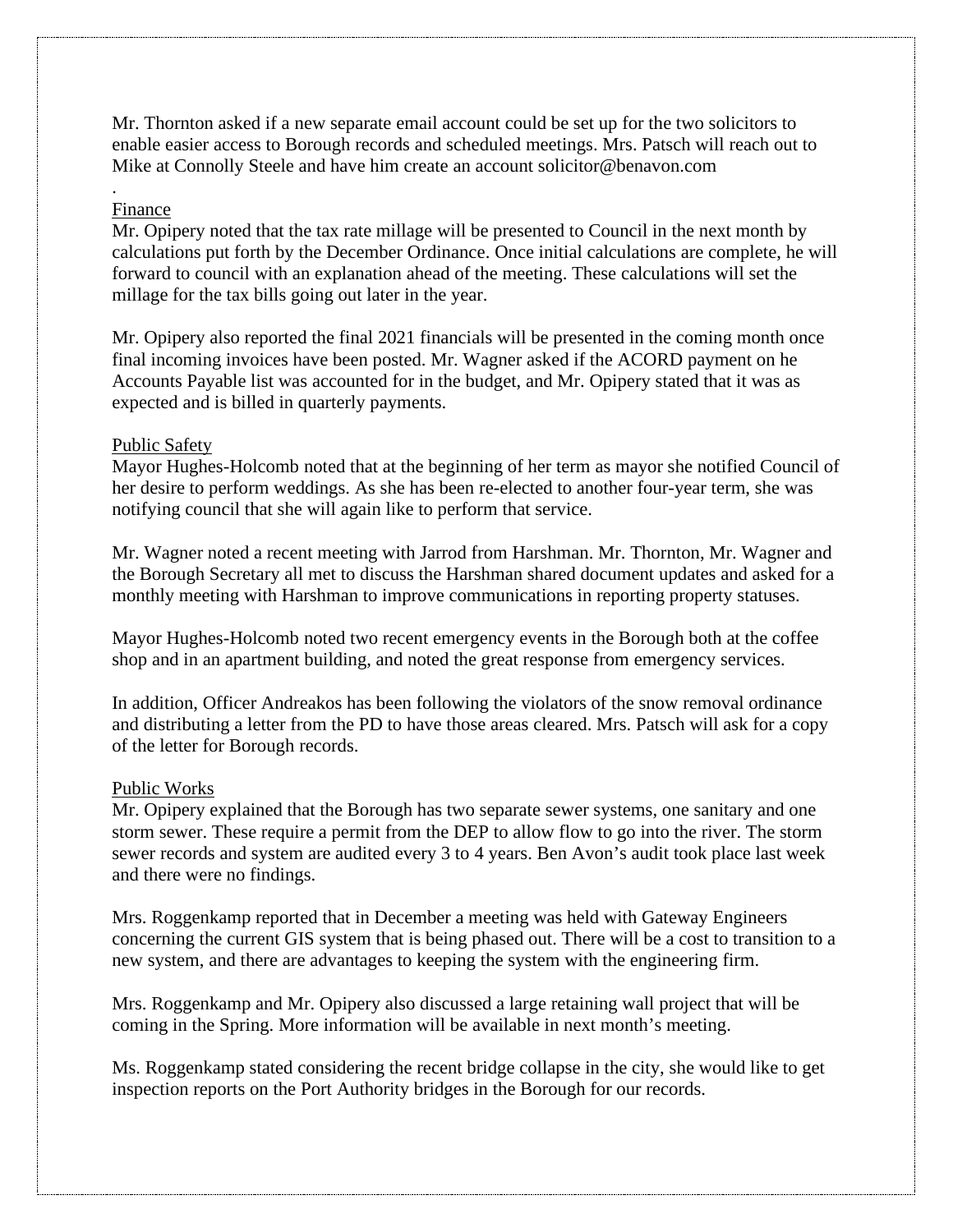Mr. Thornton asked if a new separate email account could be set up for the two solicitors to enable easier access to Borough records and scheduled meetings. Mrs. Patsch will reach out to Mike at Connolly Steele and have him create an account solicitor@benavon.com

### . Finance

Mr. Opipery noted that the tax rate millage will be presented to Council in the next month by calculations put forth by the December Ordinance. Once initial calculations are complete, he will forward to council with an explanation ahead of the meeting. These calculations will set the millage for the tax bills going out later in the year.

Mr. Opipery also reported the final 2021 financials will be presented in the coming month once final incoming invoices have been posted. Mr. Wagner asked if the ACORD payment on he Accounts Payable list was accounted for in the budget, and Mr. Opipery stated that it was as expected and is billed in quarterly payments.

### Public Safety

Mayor Hughes-Holcomb noted that at the beginning of her term as mayor she notified Council of her desire to perform weddings. As she has been re-elected to another four-year term, she was notifying council that she will again like to perform that service.

Mr. Wagner noted a recent meeting with Jarrod from Harshman. Mr. Thornton, Mr. Wagner and the Borough Secretary all met to discuss the Harshman shared document updates and asked for a monthly meeting with Harshman to improve communications in reporting property statuses.

Mayor Hughes-Holcomb noted two recent emergency events in the Borough both at the coffee shop and in an apartment building, and noted the great response from emergency services.

In addition, Officer Andreakos has been following the violators of the snow removal ordinance and distributing a letter from the PD to have those areas cleared. Mrs. Patsch will ask for a copy of the letter for Borough records.

### Public Works

Mr. Opipery explained that the Borough has two separate sewer systems, one sanitary and one storm sewer. These require a permit from the DEP to allow flow to go into the river. The storm sewer records and system are audited every 3 to 4 years. Ben Avon's audit took place last week and there were no findings.

Mrs. Roggenkamp reported that in December a meeting was held with Gateway Engineers concerning the current GIS system that is being phased out. There will be a cost to transition to a new system, and there are advantages to keeping the system with the engineering firm.

Mrs. Roggenkamp and Mr. Opipery also discussed a large retaining wall project that will be coming in the Spring. More information will be available in next month's meeting.

Ms. Roggenkamp stated considering the recent bridge collapse in the city, she would like to get inspection reports on the Port Authority bridges in the Borough for our records.